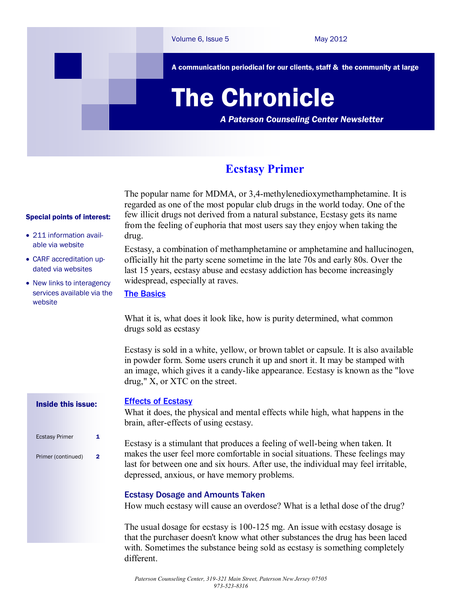

## **Ecstasy Primer**

The popular name for MDMA, or 3,4-methylenedioxymethamphetamine. It is regarded as one of the most popular club drugs in the world today. One of the few illicit drugs not derived from a natural substance, Ecstasy gets its name from the feeling of euphoria that most users say they enjoy when taking the drug.

Ecstasy, a combination of methamphetamine or amphetamine and hallucinogen, officially hit the party scene sometime in the late 70s and early 80s. Over the last 15 years, ecstasy abuse and ecstasy addiction has become increasingly widespread, especially at raves.

[The Basics](http://www.thegooddrugsguide.com/ecstasy/basics.htm)

What it is, what does it look like, how is purity determined, what common drugs sold as ecstasy

Ecstasy is sold in a white, yellow, or brown tablet or capsule. It is also available in powder form. Some users crunch it up and snort it. It may be stamped with an image, which gives it a candy-like appearance. Ecstasy is known as the "love drug," X, or XTC on the street.

### **[Effects of Ecstasy](http://www.thegooddrugsguide.com/ecstasy/effects.htm)**

What it does, the physical and mental effects while high, what happens in the brain, after-effects of using ecstasy.

Ecstasy is a stimulant that produces a feeling of well-being when taken. It makes the user feel more comfortable in social situations. These feelings may last for between one and six hours. After use, the individual may feel irritable, depressed, anxious, or have memory problems.

### Ecstasy Dosage and Amounts Taken

How much ecstasy will cause an overdose? What is a lethal dose of the drug?

The usual dosage for ecstasy is 100-125 mg. An issue with ecstasy dosage is that the purchaser doesn't know what other substances the drug has been laced with. Sometimes the substance being sold as ecstasy is something completely different.

#### Special points of interest:

- 211 information available via website
- CARF accreditation updated via websites
- New links to interagency services available via the website

Inside this issue:

- Ecstasy Primer 1
- Primer (continued) 2